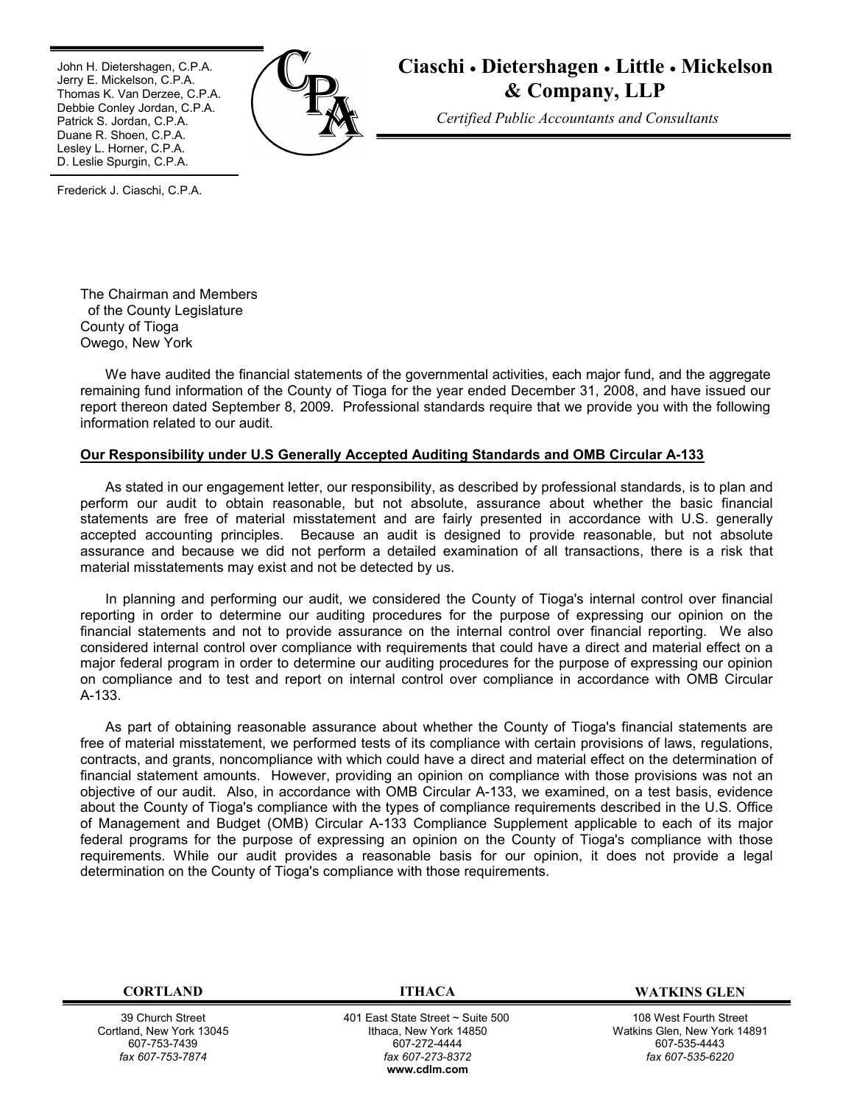John H. Dietershagen, C.P.A. Jerry E. Mickelson, C.P.A. Thomas K. Van Derzee, C.P.A. Debbie Conley Jordan, C.P.A. Patrick S. Jordan, C.P.A. Duane R. Shoen, C.P.A. Lesley L. Horner, C.P.A. D. Leslie Spurgin, C.P.A.



# **Ciaschi** · **Dietershagen** · **Little** · **Mickelson & Company, LLP**

*Certified Public Accountants and Consultants*

Frederick J. Ciaschi, C.P.A.

The Chairman and Members of the County Legislature County of Tioga Owego, New York

We have audited the financial statements of the governmental activities, each major fund, and the aggregate remaining fund information of the County of Tioga for the year ended December 31, 2008, and have issued our report thereon dated September 8, 2009. Professional standards require that we provide you with the following information related to our audit.

## **Our Responsibility under U.S Generally Accepted Auditing Standards and OMB Circular A-133**

As stated in our engagement letter, our responsibility, as described by professional standards, is to plan and perform our audit to obtain reasonable, but not absolute, assurance about whether the basic financial statements are free of material misstatement and are fairly presented in accordance with U.S. generally accepted accounting principles. Because an audit is designed to provide reasonable, but not absolute assurance and because we did not perform a detailed examination of all transactions, there is a risk that material misstatements may exist and not be detected by us.

In planning and performing our audit, we considered the County of Tioga's internal control over financial reporting in order to determine our auditing procedures for the purpose of expressing our opinion on the financial statements and not to provide assurance on the internal control over financial reporting. We also considered internal control over compliance with requirements that could have a direct and material effect on a major federal program in order to determine our auditing procedures for the purpose of expressing our opinion on compliance and to test and report on internal control over compliance in accordance with OMB Circular A-133.

As part of obtaining reasonable assurance about whether the County of Tioga's financial statements are free of material misstatement, we performed tests of its compliance with certain provisions of laws, regulations, contracts, and grants, noncompliance with which could have a direct and material effect on the determination of financial statement amounts. However, providing an opinion on compliance with those provisions was not an objective of our audit. Also, in accordance with OMB Circular A-133, we examined, on a test basis, evidence about the County of Tioga's compliance with the types of compliance requirements described in the U.S. Office of Management and Budget (OMB) Circular A-133 Compliance Supplement applicable to each of its major federal programs for the purpose of expressing an opinion on the County of Tioga's compliance with those requirements. While our audit provides a reasonable basis for our opinion, it does not provide a legal determination on the County of Tioga's compliance with those requirements.

39 Church Street Cortland, New York 13045 607-753-7439 *fax 607-753-7874*

401 East State Street ~ Suite 500 Ithaca, New York 14850 607-272-4444 *fax 607-273-8372* **w[ww.cdlm.com](www.cdlm.com)**

#### **CORTLAND ITHACA WATKINS GLEN**

108 West Fourth Street Watkins Glen, New York 14891 607-535-4443 *fax 607-535-6220*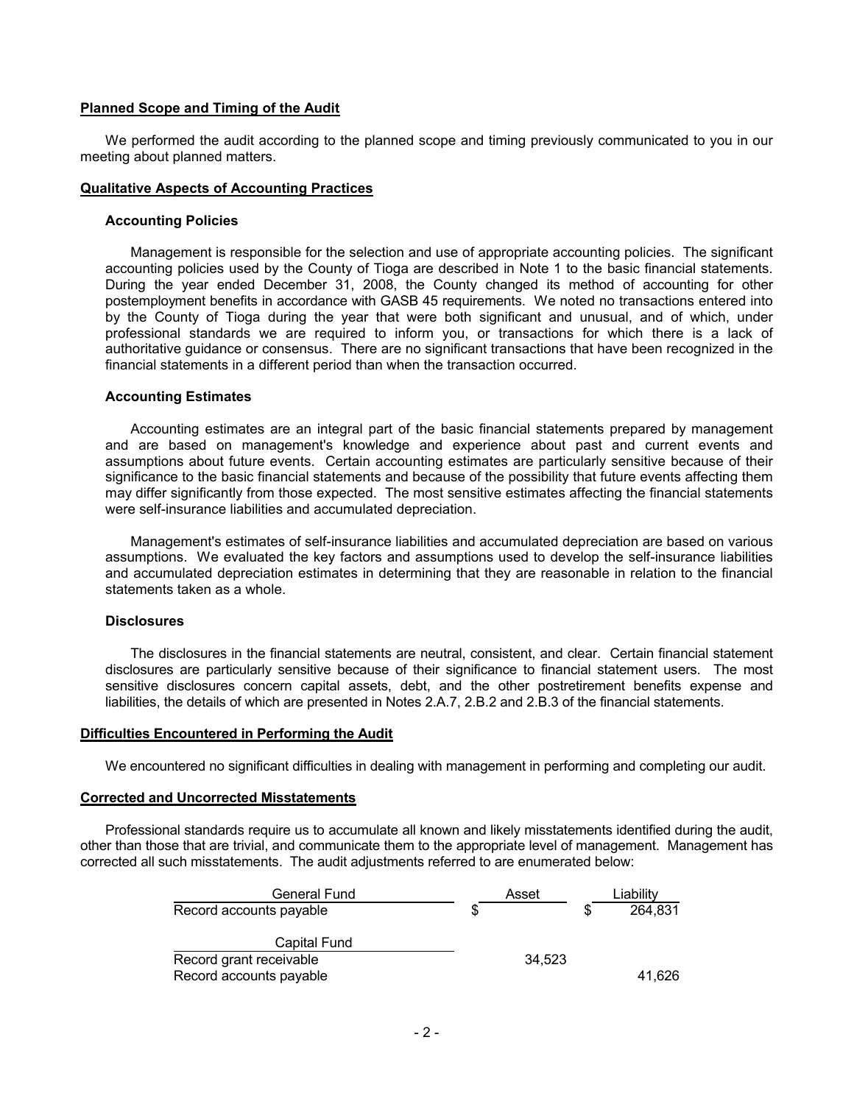# **Planned Scope and Timing of the Audit**

We performed the audit according to the planned scope and timing previously communicated to you in our meeting about planned matters.

# **Qualitative Aspects of Accounting Practices**

#### **Accounting Policies**

Management is responsible for the selection and use of appropriate accounting policies. The significant accounting policies used by the County of Tioga are described in Note 1 to the basic financial statements. During the year ended December 31, 2008, the County changed its method of accounting for other postemployment benefits in accordance with GASB 45 requirements. We noted no transactions entered into by the County of Tioga during the year that were both significant and unusual, and of which, under professional standards we are required to inform you, or transactions for which there is a lack of authoritative guidance or consensus. There are no significant transactions that have been recognized in the financial statements in a different period than when the transaction occurred.

## **Accounting Estimates**

Accounting estimates are an integral part of the basic financial statements prepared by management and are based on management's knowledge and experience about past and current events and assumptions about future events. Certain accounting estimates are particularly sensitive because of their significance to the basic financial statements and because of the possibility that future events affecting them may differ significantly from those expected. The most sensitive estimates affecting the financial statements were self-insurance liabilities and accumulated depreciation.

Management's estimates of self-insurance liabilities and accumulated depreciation are based on various assumptions. We evaluated the key factors and assumptions used to develop the self-insurance liabilities and accumulated depreciation estimates in determining that they are reasonable in relation to the financial statements taken as a whole.

# **Disclosures**

The disclosures in the financial statements are neutral, consistent, and clear. Certain financial statement disclosures are particularly sensitive because of their significance to financial statement users. The most sensitive disclosures concern capital assets, debt, and the other postretirement benefits expense and liabilities, the details of which are presented in Notes 2.A.7, 2.B.2 and 2.B.3 of the financial statements.

# **Difficulties Encountered in Performing the Audit**

We encountered no significant difficulties in dealing with management in performing and completing our audit.

#### **Corrected and Uncorrected Misstatements**

Professional standards require us to accumulate all known and likely misstatements identified during the audit, other than those that are trivial, and communicate them to the appropriate level of management. Management has corrected all such misstatements. The audit adjustments referred to are enumerated below:

| <b>General Fund</b>     |   | Asset  |   | Liability |
|-------------------------|---|--------|---|-----------|
| Record accounts payable | S |        | S | 264.831   |
| Capital Fund            |   |        |   |           |
| Record grant receivable |   | 34.523 |   |           |
| Record accounts payable |   |        |   | 41.626    |